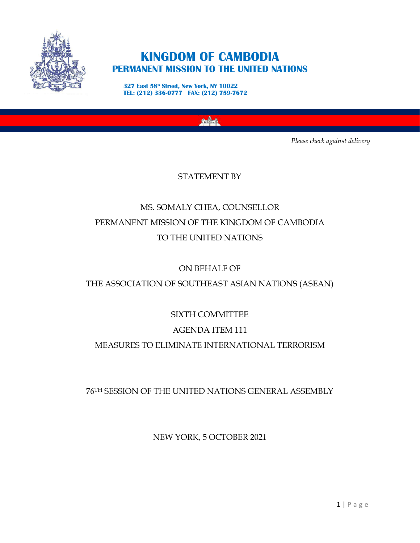

## **KINGDOM OF CAMBODIA PERMANENT MISSION TO THE UNITED NATIONS**

**327 East 58th Street, New York, NY 10022 TEL: (212) 336-0777 FAX: (212) 759-7672**

*Please check against delivery* 

STATEMENT BY

# MS. SOMALY CHEA, COUNSELLOR PERMANENT MISSION OF THE KINGDOM OF CAMBODIA TO THE UNITED NATIONS

ON BEHALF OF

THE ASSOCIATION OF SOUTHEAST ASIAN NATIONS (ASEAN)

SIXTH COMMITTEE

## AGENDA ITEM 111

## MEASURES TO ELIMINATE INTERNATIONAL TERRORISM

76TH SESSION OF THE UNITED NATIONS GENERAL ASSEMBLY

NEW YORK, 5 OCTOBER 2021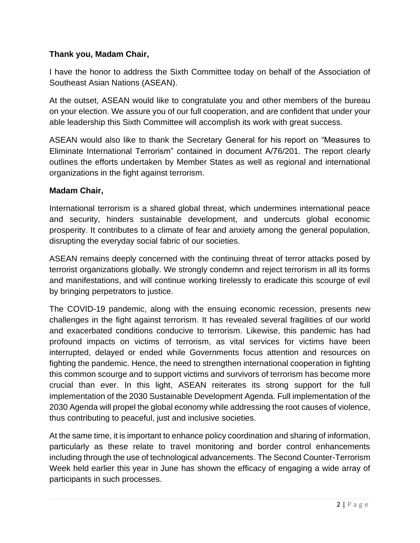#### **Thank you, Madam Chair,**

I have the honor to address the Sixth Committee today on behalf of the Association of Southeast Asian Nations (ASEAN).

At the outset, ASEAN would like to congratulate you and other members of the bureau on your election. We assure you of our full cooperation, and are confident that under your able leadership this Sixth Committee will accomplish its work with great success.

ASEAN would also like to thank the Secretary General for his report on "Measures to Eliminate International Terrorism" contained in document A/76/201. The report clearly outlines the efforts undertaken by Member States as well as regional and international organizations in the fight against terrorism.

#### **Madam Chair,**

International terrorism is a shared global threat, which undermines international peace and security, hinders sustainable development, and undercuts global economic prosperity. It contributes to a climate of fear and anxiety among the general population, disrupting the everyday social fabric of our societies.

ASEAN remains deeply concerned with the continuing threat of terror attacks posed by terrorist organizations globally. We strongly condemn and reject terrorism in all its forms and manifestations, and will continue working tirelessly to eradicate this scourge of evil by bringing perpetrators to justice.

The COVID-19 pandemic, along with the ensuing economic recession, presents new challenges in the fight against terrorism. It has revealed several fragilities of our world and exacerbated conditions conducive to terrorism. Likewise, this pandemic has had profound impacts on victims of terrorism, as vital services for victims have been interrupted, delayed or ended while Governments focus attention and resources on fighting the pandemic. Hence, the need to strengthen international cooperation in fighting this common scourge and to support victims and survivors of terrorism has become more crucial than ever. In this light, ASEAN reiterates its strong support for the full implementation of the 2030 Sustainable Development Agenda. Full implementation of the 2030 Agenda will propel the global economy while addressing the root causes of violence, thus contributing to peaceful, just and inclusive societies.

At the same time, it is important to enhance policy coordination and sharing of information, particularly as these relate to travel monitoring and border control enhancements including through the use of technological advancements. The Second Counter-Terrorism Week held earlier this year in June has shown the efficacy of engaging a wide array of participants in such processes.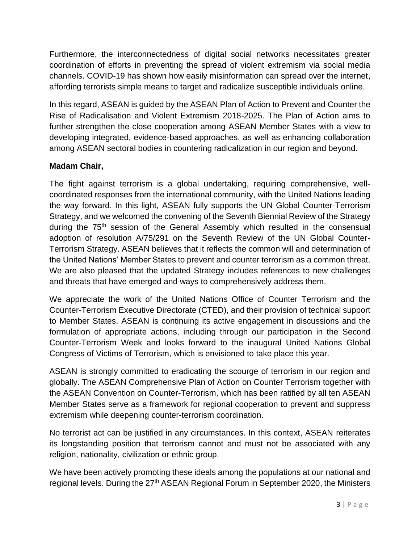Furthermore, the interconnectedness of digital social networks necessitates greater coordination of efforts in preventing the spread of violent extremism via social media channels. COVID-19 has shown how easily misinformation can spread over the internet, affording terrorists simple means to target and radicalize susceptible individuals online.

In this regard, ASEAN is guided by the ASEAN Plan of Action to Prevent and Counter the Rise of Radicalisation and Violent Extremism 2018-2025. The Plan of Action aims to further strengthen the close cooperation among ASEAN Member States with a view to developing integrated, evidence-based approaches, as well as enhancing collaboration among ASEAN sectoral bodies in countering radicalization in our region and beyond.

#### **Madam Chair,**

The fight against terrorism is a global undertaking, requiring comprehensive, wellcoordinated responses from the international community, with the United Nations leading the way forward. In this light, ASEAN fully supports the UN Global Counter-Terrorism Strategy, and we welcomed the convening of the Seventh Biennial Review of the Strategy during the 75<sup>th</sup> session of the General Assembly which resulted in the consensual adoption of resolution A/75/291 on the Seventh Review of the UN Global Counter-Terrorism Strategy. ASEAN believes that it reflects the common will and determination of the United Nations' Member States to prevent and counter terrorism as a common threat. We are also pleased that the updated Strategy includes references to new challenges and threats that have emerged and ways to comprehensively address them.

We appreciate the work of the United Nations Office of Counter Terrorism and the Counter-Terrorism Executive Directorate (CTED), and their provision of technical support to Member States. ASEAN is continuing its active engagement in discussions and the formulation of appropriate actions, including through our participation in the Second Counter-Terrorism Week and looks forward to the inaugural United Nations Global Congress of Victims of Terrorism, which is envisioned to take place this year.

ASEAN is strongly committed to eradicating the scourge of terrorism in our region and globally. The ASEAN Comprehensive Plan of Action on Counter Terrorism together with the ASEAN Convention on Counter-Terrorism, which has been ratified by all ten ASEAN Member States serve as a framework for regional cooperation to prevent and suppress extremism while deepening counter-terrorism coordination.

No terrorist act can be justified in any circumstances. In this context, ASEAN reiterates its longstanding position that terrorism cannot and must not be associated with any religion, nationality, civilization or ethnic group.

We have been actively promoting these ideals among the populations at our national and regional levels. During the 27<sup>th</sup> ASEAN Regional Forum in September 2020, the Ministers